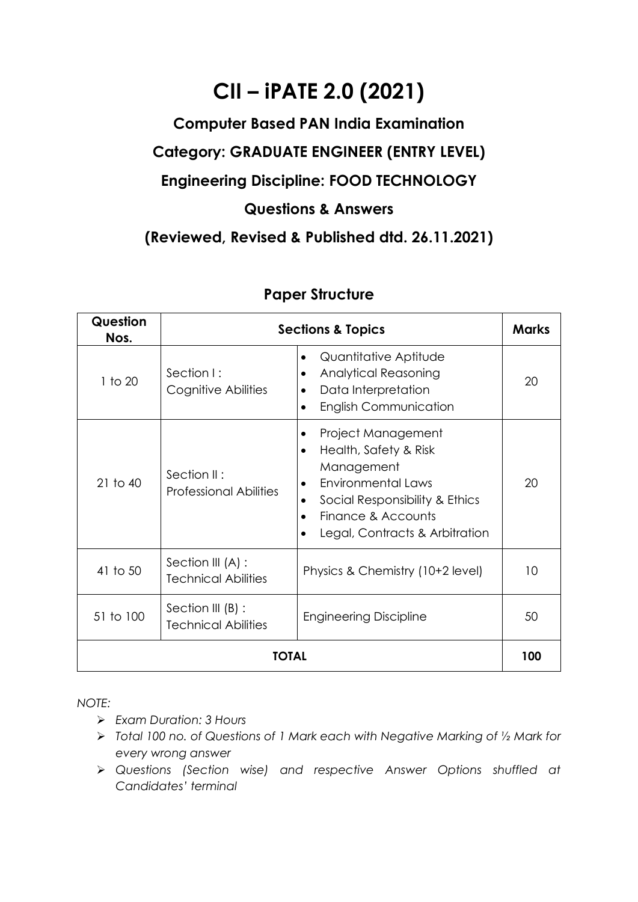# **CII – iPATE 2.0 (2021)**

### **Computer Based PAN India Examination**

## **Category: GRADUATE ENGINEER (ENTRY LEVEL)**

#### **Engineering Discipline: FOOD TECHNOLOGY**

#### **Questions & Answers**

**(Reviewed, Revised & Published dtd. 26.11.2021)**

| Question<br>Nos. | <b>Sections &amp; Topics</b>                    |                                                                                                                                                                                               |    |  |  |
|------------------|-------------------------------------------------|-----------------------------------------------------------------------------------------------------------------------------------------------------------------------------------------------|----|--|--|
| 1 to 20          | Section I:<br>Cognitive Abilities               | Quantitative Aptitude<br>$\bullet$<br><b>Analytical Reasoning</b><br>٠<br>Data Interpretation<br><b>English Communication</b>                                                                 | 20 |  |  |
| $21$ to $40$     | Section II:<br>Professional Abilities           | Project Management<br>Health, Safety & Risk<br>$\bullet$<br>Management<br><b>Environmental Laws</b><br>Social Responsibility & Ethics<br>Finance & Accounts<br>Legal, Contracts & Arbitration | 20 |  |  |
| 41 to 50         | Section III (A) :<br><b>Technical Abilities</b> | Physics & Chemistry (10+2 level)                                                                                                                                                              | 10 |  |  |
| 51 to 100        | Section III (B) :<br><b>Technical Abilities</b> | <b>Engineering Discipline</b>                                                                                                                                                                 | 50 |  |  |
| TOTAL            |                                                 |                                                                                                                                                                                               |    |  |  |

#### **Paper Structure**

*NOTE:*

- ➢ *Exam Duration: 3 Hours*
- ➢ *Total 100 no. of Questions of 1 Mark each with Negative Marking of ½ Mark for every wrong answer*
- ➢ *Questions (Section wise) and respective Answer Options shuffled at Candidates' terminal*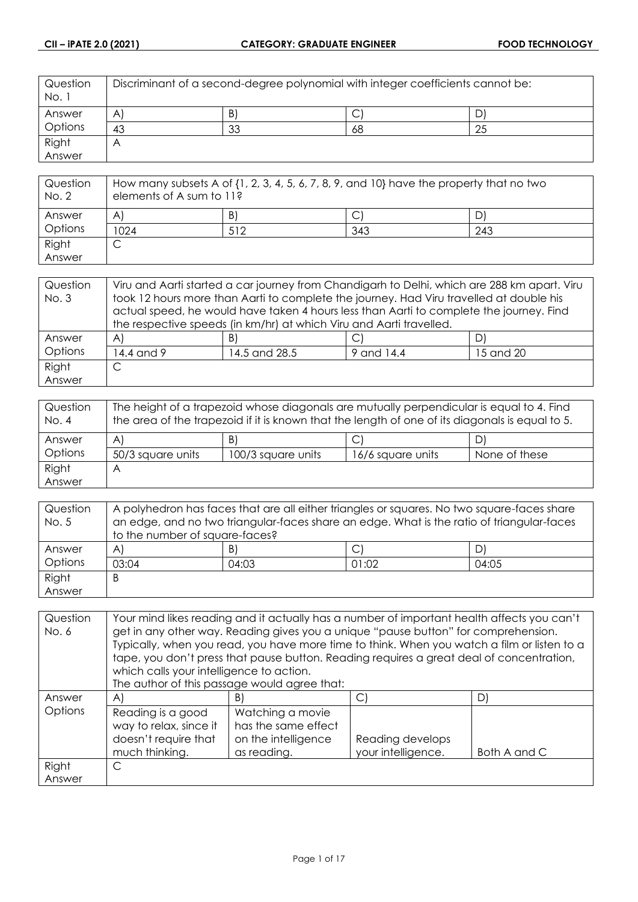| Question<br>No. 1 | Discriminant of a second-degree polynomial with integer coefficients cannot be: |    |    |    |
|-------------------|---------------------------------------------------------------------------------|----|----|----|
| Answer            | $\mathsf{A}$                                                                    | B) | ◡  |    |
| Options           | 43                                                                              | 33 | 68 | 25 |
| Right             | $\forall$                                                                       |    |    |    |
| Answer            |                                                                                 |    |    |    |

| Question<br>No. 2 | How many subsets A of $\{1, 2, 3, 4, 5, 6, 7, 8, 9,$ and $10\}$ have the property that no two<br>elements of A sum to 11? |     |     |     |
|-------------------|---------------------------------------------------------------------------------------------------------------------------|-----|-----|-----|
| Answer            | A                                                                                                                         | B)  |     |     |
| Options           | 1024                                                                                                                      | 512 | 343 | 243 |
| Right             | ◡                                                                                                                         |     |     |     |
| Answer            |                                                                                                                           |     |     |     |

| Question | Viru and Aarti started a car journey from Chandigarh to Delhi, which are 288 km apart. Viru |                                                                                         |  |    |  |
|----------|---------------------------------------------------------------------------------------------|-----------------------------------------------------------------------------------------|--|----|--|
| No. 3    | took 12 hours more than Aarti to complete the journey. Had Viru travelled at double his     |                                                                                         |  |    |  |
|          |                                                                                             | actual speed, he would have taken 4 hours less than Aarti to complete the journey. Find |  |    |  |
|          | the respective speeds (in km/hr) at which Viru and Aarti travelled.                         |                                                                                         |  |    |  |
| Answer   | $\mathsf{A}$                                                                                | B)                                                                                      |  | DI |  |
| Options  | 14.4 and 9<br>14.5 and 28.5<br>9 and 14.4<br>15 and 20                                      |                                                                                         |  |    |  |
| Right    |                                                                                             |                                                                                         |  |    |  |
| Answer   |                                                                                             |                                                                                         |  |    |  |

| Question<br>No. 4 | The height of a trapezoid whose diagonals are mutually perpendicular is equal to 4. Find<br>the area of the trapezoid if it is known that the length of one of its diagonals is equal to 5. |                    |                   |               |  |
|-------------------|---------------------------------------------------------------------------------------------------------------------------------------------------------------------------------------------|--------------------|-------------------|---------------|--|
| Answer            | D)<br>B)<br>A<br>◡                                                                                                                                                                          |                    |                   |               |  |
| Options           | 50/3 square units                                                                                                                                                                           | 100/3 square units | 16/6 square units | None of these |  |
| Right             | А                                                                                                                                                                                           |                    |                   |               |  |
| Answer            |                                                                                                                                                                                             |                    |                   |               |  |

| Question | A polyhedron has faces that are all either triangles or squares. No two square-faces share |       |       |       |
|----------|--------------------------------------------------------------------------------------------|-------|-------|-------|
| No. 5    | an edge, and no two triangular-faces share an edge. What is the ratio of triangular-faces  |       |       |       |
|          | to the number of square-faces?                                                             |       |       |       |
| Answer   | $\mathsf{A}$                                                                               | B)    |       | D)    |
| Options  | 03:04                                                                                      | 04:03 | 01:02 | 04:05 |
| Right    | B                                                                                          |       |       |       |
| Answer   |                                                                                            |       |       |       |

| Question | Your mind likes reading and it actually has a number of important health affects you can't |                                                                                             |                    |              |
|----------|--------------------------------------------------------------------------------------------|---------------------------------------------------------------------------------------------|--------------------|--------------|
| No. 6    | get in any other way. Reading gives you a unique "pause button" for comprehension.         |                                                                                             |                    |              |
|          |                                                                                            | Typically, when you read, you have more time to think. When you watch a film or listen to a |                    |              |
|          |                                                                                            | tape, you don't press that pause button. Reading requires a great deal of concentration,    |                    |              |
|          | which calls your intelligence to action.                                                   |                                                                                             |                    |              |
|          |                                                                                            | The author of this passage would agree that:                                                |                    |              |
| Answer   | $\mathsf{A}$                                                                               | B)                                                                                          | C)                 | D)           |
| Options  | Reading is a good                                                                          | Watching a movie                                                                            |                    |              |
|          | way to relax, since it                                                                     | has the same effect                                                                         |                    |              |
|          | doesn't require that                                                                       | on the intelligence                                                                         | Reading develops   |              |
|          | much thinking.                                                                             | as reading.                                                                                 | your intelligence. | Both A and C |
| Right    | C                                                                                          |                                                                                             |                    |              |
| Answer   |                                                                                            |                                                                                             |                    |              |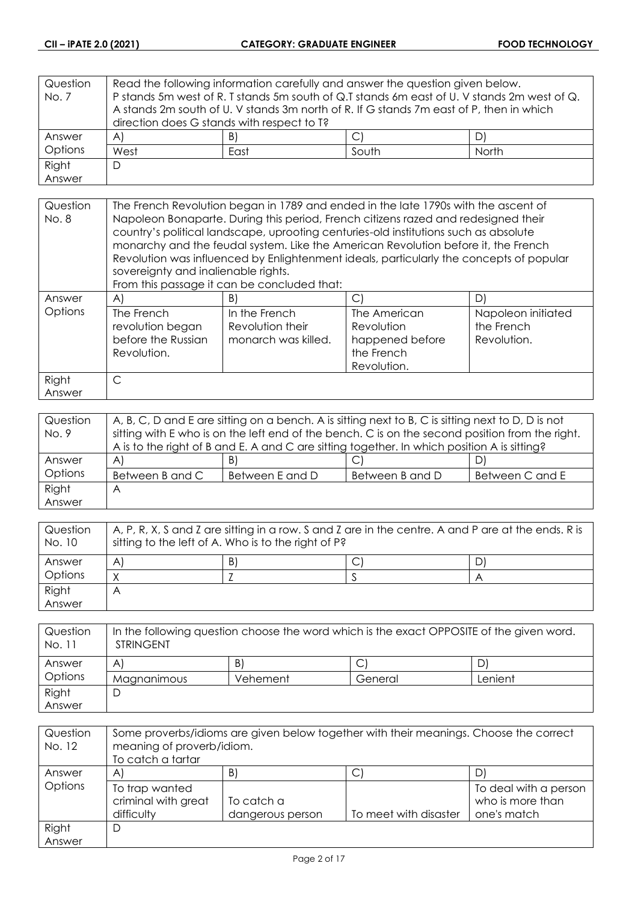| Question | Read the following information carefully and answer the question given below. |    |                                                                                             |  |
|----------|-------------------------------------------------------------------------------|----|---------------------------------------------------------------------------------------------|--|
| No. 7    |                                                                               |    | P stands 5m west of R. T stands 5m south of Q.T stands 6m east of U. V stands 2m west of Q. |  |
|          |                                                                               |    | A stands 2m south of U. V stands 3m north of R. If G stands 7m east of P, then in which     |  |
|          | direction does G stands with respect to T?                                    |    |                                                                                             |  |
| Answer   | $\forall$                                                                     | B) |                                                                                             |  |
| Options  | West<br>South<br>North<br>East                                                |    |                                                                                             |  |
| Right    | D                                                                             |    |                                                                                             |  |
| Answer   |                                                                               |    |                                                                                             |  |

| Question | The French Revolution began in 1789 and ended in the late 1790s with the ascent of                                                                                         |                                                          |                                                                                         |                                                 |
|----------|----------------------------------------------------------------------------------------------------------------------------------------------------------------------------|----------------------------------------------------------|-----------------------------------------------------------------------------------------|-------------------------------------------------|
| No. 8    | Napoleon Bonaparte. During this period, French citizens razed and redesigned their<br>country's political landscape, uprooting centuries-old institutions such as absolute |                                                          |                                                                                         |                                                 |
|          |                                                                                                                                                                            |                                                          | monarchy and the feudal system. Like the American Revolution before it, the French      |                                                 |
|          |                                                                                                                                                                            |                                                          | Revolution was influenced by Enlightenment ideals, particularly the concepts of popular |                                                 |
|          | sovereignty and inalienable rights.                                                                                                                                        |                                                          |                                                                                         |                                                 |
|          |                                                                                                                                                                            | From this passage it can be concluded that:              |                                                                                         |                                                 |
| Answer   | $\mathsf{A}$                                                                                                                                                               | B)                                                       |                                                                                         | D)                                              |
| Options  | The French<br>revolution began<br>before the Russian<br>Revolution.                                                                                                        | In the French<br>Revolution their<br>monarch was killed. | The American<br>Revolution<br>happened before<br>the French<br>Revolution.              | Napoleon initiated<br>the French<br>Revolution. |
| Right    | C                                                                                                                                                                          |                                                          |                                                                                         |                                                 |
| Answer   |                                                                                                                                                                            |                                                          |                                                                                         |                                                 |

| Question | A, B, C, D and E are sitting on a bench. A is sitting next to B, C is sitting next to D, D is not |                 |                 |                 |
|----------|---------------------------------------------------------------------------------------------------|-----------------|-----------------|-----------------|
| No. 9    | sitting with E who is on the left end of the bench. C is on the second position from the right.   |                 |                 |                 |
|          | A is to the right of B and E. A and C are sitting together. In which position A is sitting?       |                 |                 |                 |
| Answer   | $\mathsf{A}$                                                                                      | B)              |                 |                 |
| Options  | Between B and C                                                                                   | Between E and D | Between B and D | Between C and E |
| Right    | A                                                                                                 |                 |                 |                 |
| Answer   |                                                                                                   |                 |                 |                 |

| Question<br>No. 10 | A, P, R, X, S and Z are sitting in a row. S and Z are in the centre. A and P are at the ends. R is<br>sitting to the left of A. Who is to the right of P? |  |  |  |  |
|--------------------|-----------------------------------------------------------------------------------------------------------------------------------------------------------|--|--|--|--|
| Answer             | B)<br>D<br>A                                                                                                                                              |  |  |  |  |
| Options            |                                                                                                                                                           |  |  |  |  |
| Right              | Α                                                                                                                                                         |  |  |  |  |
| Answer             |                                                                                                                                                           |  |  |  |  |

| Question<br>No. 11 | In the following question choose the word which is the exact OPPOSITE of the given word.<br><b>STRINGENT</b> |          |         |         |
|--------------------|--------------------------------------------------------------------------------------------------------------|----------|---------|---------|
| Answer             | A                                                                                                            | B)       |         |         |
| Options            | Magnanimous                                                                                                  | Vehement | General | Lenient |
| Right              |                                                                                                              |          |         |         |
| Answer             |                                                                                                              |          |         |         |

| Question<br>No. 12 | Some proverbs/idioms are given below together with their meanings. Choose the correct<br>meaning of proverb/idiom.<br>To catch a tartar |                                |                       |                                                          |
|--------------------|-----------------------------------------------------------------------------------------------------------------------------------------|--------------------------------|-----------------------|----------------------------------------------------------|
| Answer             | A                                                                                                                                       | B)                             | ◡                     |                                                          |
| Options            | To trap wanted<br>criminal with great<br>difficulty                                                                                     | To catch a<br>dangerous person | To meet with disaster | To deal with a person<br>who is more than<br>one's match |
| Right              | D                                                                                                                                       |                                |                       |                                                          |
| Answer             |                                                                                                                                         |                                |                       |                                                          |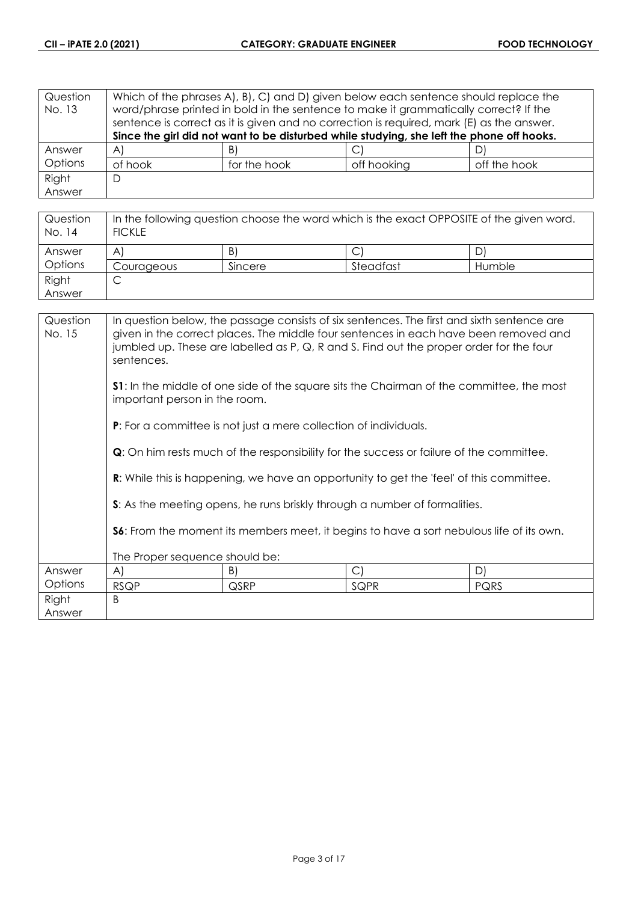| Question<br>No. 13 | Which of the phrases A, B, C, and D, given below each sentence should replace the<br>word/phrase printed in bold in the sentence to make it grammatically correct? If the<br>sentence is correct as it is given and no correction is required, mark (E) as the answer.<br>Since the girl did not want to be disturbed while studying, she left the phone off hooks. |              |             |              |
|--------------------|---------------------------------------------------------------------------------------------------------------------------------------------------------------------------------------------------------------------------------------------------------------------------------------------------------------------------------------------------------------------|--------------|-------------|--------------|
| Answer             | $\forall$                                                                                                                                                                                                                                                                                                                                                           | B)           | ◡           |              |
| Options            | of hook                                                                                                                                                                                                                                                                                                                                                             | for the hook | off hooking | off the hook |
| Right              | D                                                                                                                                                                                                                                                                                                                                                                   |              |             |              |
| Answer             |                                                                                                                                                                                                                                                                                                                                                                     |              |             |              |

| Question<br>No. 14 | In the following question choose the word which is the exact OPPOSITE of the given word.<br><b>FICKLE</b> |         |           |        |
|--------------------|-----------------------------------------------------------------------------------------------------------|---------|-----------|--------|
| Answer             | A                                                                                                         | B)      |           | D      |
| Options            | Courageous                                                                                                | Sincere | Steadfast | Humble |
| Right              | ◡                                                                                                         |         |           |        |
| Answer             |                                                                                                           |         |           |        |

| Question<br>No. 15 | In question below, the passage consists of six sentences. The first and sixth sentence are<br>given in the correct places. The middle four sentences in each have been removed and<br>jumbled up. These are labelled as P, Q, R and S. Find out the proper order for the four<br>sentences.<br><b>S1:</b> In the middle of one side of the square sits the Chairman of the committee, the most<br>important person in the room.<br><b>P:</b> For a committee is not just a mere collection of individuals. |      |            |             |
|--------------------|------------------------------------------------------------------------------------------------------------------------------------------------------------------------------------------------------------------------------------------------------------------------------------------------------------------------------------------------------------------------------------------------------------------------------------------------------------------------------------------------------------|------|------------|-------------|
|                    | <b>Q</b> : On him rests much of the responsibility for the success or failure of the committee.<br><b>R:</b> While this is happening, we have an opportunity to get the 'feel' of this committee.<br>S: As the meeting opens, he runs briskly through a number of formalities.<br>S6: From the moment its members meet, it begins to have a sort nebulous life of its own.                                                                                                                                 |      |            |             |
| Answer             | The Proper sequence should be:<br>A)                                                                                                                                                                                                                                                                                                                                                                                                                                                                       | B)   | $\bigcirc$ | D)          |
| Options            | <b>RSQP</b>                                                                                                                                                                                                                                                                                                                                                                                                                                                                                                | QSRP | SQPR       | <b>PQRS</b> |
| Right<br>Answer    | B                                                                                                                                                                                                                                                                                                                                                                                                                                                                                                          |      |            |             |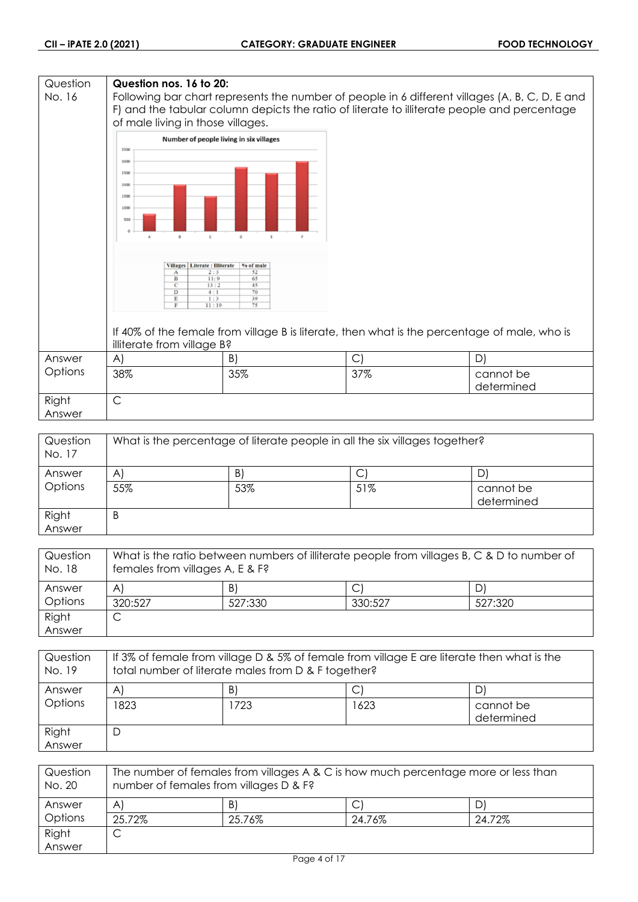#### **Question Question nos. 16 to 20:** No. 16 Following bar chart represents the number of people in 6 different villages (A, B, C, D, E and F) and the tabular column depicts the ratio of literate to illiterate people and percentage of male living in those villages. Number of people living in six villages 3500 3000 2500 2000 1500  $1000$ 50 Villages | Literate : Illiterate | % of male Ť  $\frac{1}{13}$  $\overline{11}$ If 40% of the female from village B is literate, then what is the percentage of male, who is illiterate from village B? Answer A)  $|B|$   $|C|$   $|D|$ **Options** 38% 35% 37% cannot be determined Right C Answer

| Question<br>No. 17 | What is the percentage of literate people in all the six villages together? |     |     |                         |
|--------------------|-----------------------------------------------------------------------------|-----|-----|-------------------------|
| Answer             | A                                                                           | B)  | С   |                         |
| Options            | 55%                                                                         | 53% | 51% | cannot be<br>determined |
| Right<br>Answer    | B                                                                           |     |     |                         |

| Question<br>No. 18 | What is the ratio between numbers of illiterate people from villages B, C & D to number of<br>females from villages A, E & F? |         |         |         |
|--------------------|-------------------------------------------------------------------------------------------------------------------------------|---------|---------|---------|
| Answer             | A                                                                                                                             | B)      |         | D)      |
| Options            | 320:527                                                                                                                       | 527:330 | 330:527 | 527:320 |
| Right              |                                                                                                                               |         |         |         |
| Answer             |                                                                                                                               |         |         |         |

| Question<br>No. 19 | If 3% of female from village D & 5% of female from village E are literate then what is the<br>total number of literate males from D & F together? |     |      |                         |
|--------------------|---------------------------------------------------------------------------------------------------------------------------------------------------|-----|------|-------------------------|
| Answer             | A                                                                                                                                                 | B)  |      | D,                      |
| Options            | 1823                                                                                                                                              | 723 | 1623 | cannot be<br>determined |
| Right<br>Answer    | D                                                                                                                                                 |     |      |                         |

| Question<br>No. 20 | The number of females from villages A & C is how much percentage more or less than<br>number of females from villages D & F? |        |        |        |
|--------------------|------------------------------------------------------------------------------------------------------------------------------|--------|--------|--------|
| Answer             | A                                                                                                                            | B)     |        |        |
| Options            | 25.72%                                                                                                                       | 25.76% | 24.76% | 24.72% |
| Right              | ◡                                                                                                                            |        |        |        |
| Answer             |                                                                                                                              |        |        |        |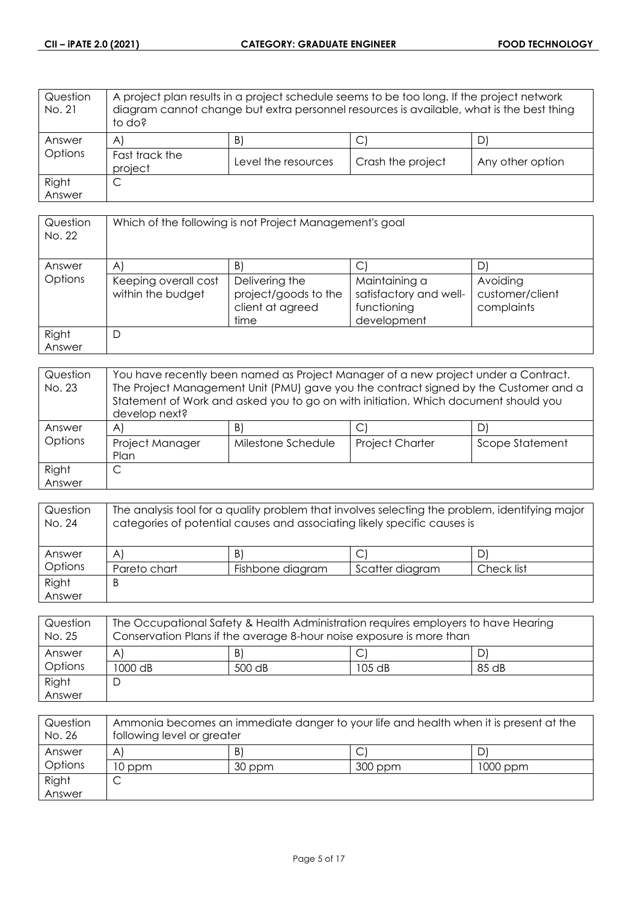| Question<br>No. 21 | A project plan results in a project schedule seems to be too long. If the project network<br>diagram cannot change but extra personnel resources is available, what is the best thing<br>to do? |                     |                   |                  |
|--------------------|-------------------------------------------------------------------------------------------------------------------------------------------------------------------------------------------------|---------------------|-------------------|------------------|
| Answer             | $\mathsf{A}$                                                                                                                                                                                    | B)                  | С                 |                  |
| Options            | Fast track the<br>project                                                                                                                                                                       | Level the resources | Crash the project | Any other option |
| Right              | С                                                                                                                                                                                               |                     |                   |                  |
| Answer             |                                                                                                                                                                                                 |                     |                   |                  |

| Question<br>No. 22 | Which of the following is not Project Management's goal |                                                                    |                                                                       |                                           |
|--------------------|---------------------------------------------------------|--------------------------------------------------------------------|-----------------------------------------------------------------------|-------------------------------------------|
| Answer             | $\mathsf{A}$                                            | $\vert B \vert$                                                    |                                                                       | D                                         |
| Options            | Keeping overall cost<br>within the budget               | Delivering the<br>project/goods to the<br>client at agreed<br>time | Maintaining a<br>satisfactory and well-<br>functioning<br>development | Avoiding<br>customer/client<br>complaints |
| Right<br>Answer    | D                                                       |                                                                    |                                                                       |                                           |

| Question<br>No. 23 | You have recently been named as Project Manager of a new project under a Contract.<br>The Project Management Unit (PMU) gave you the contract signed by the Customer and a<br>Statement of Work and asked you to go on with initiation. Which document should you<br>develop next? |                    |                        |                 |
|--------------------|------------------------------------------------------------------------------------------------------------------------------------------------------------------------------------------------------------------------------------------------------------------------------------|--------------------|------------------------|-----------------|
| Answer             | A                                                                                                                                                                                                                                                                                  | B)                 |                        |                 |
| Options            | Project Manager<br>Plan                                                                                                                                                                                                                                                            | Milestone Schedule | <b>Project Charter</b> | Scope Statement |
| Right              |                                                                                                                                                                                                                                                                                    |                    |                        |                 |
| Answer             |                                                                                                                                                                                                                                                                                    |                    |                        |                 |

| Question<br>No. 24 | The analysis tool for a quality problem that involves selecting the problem, identifying major<br>categories of potential causes and associating likely specific causes is |                  |                 |            |
|--------------------|----------------------------------------------------------------------------------------------------------------------------------------------------------------------------|------------------|-----------------|------------|
| Answer             | $\mathsf{A}$                                                                                                                                                               | B)               |                 |            |
| Options            | Pareto chart                                                                                                                                                               | Fishbone diagram | Scatter diagram | Check list |
| Right              | B                                                                                                                                                                          |                  |                 |            |
| Answer             |                                                                                                                                                                            |                  |                 |            |

| Question<br>No. 25 | The Occupational Safety & Health Administration requires employers to have Hearing<br>Conservation Plans if the average 8-hour noise exposure is more than |        |          |       |
|--------------------|------------------------------------------------------------------------------------------------------------------------------------------------------------|--------|----------|-------|
| Answer             | A                                                                                                                                                          | B)     |          |       |
| Options            | 1000 dB                                                                                                                                                    | 500 dB | $105$ dB | 85 dB |
| Right              |                                                                                                                                                            |        |          |       |
| Answer             |                                                                                                                                                            |        |          |       |

| Question<br>No. 26 | Ammonia becomes an immediate danger to your life and health when it is present at the<br>following level or greater |        |         |          |
|--------------------|---------------------------------------------------------------------------------------------------------------------|--------|---------|----------|
| Answer             | A                                                                                                                   | B.     |         |          |
| Options            | 10 ppm                                                                                                              | 30 ppm | 300 ppm | 1000 ppm |
| Right              |                                                                                                                     |        |         |          |
| Answer             |                                                                                                                     |        |         |          |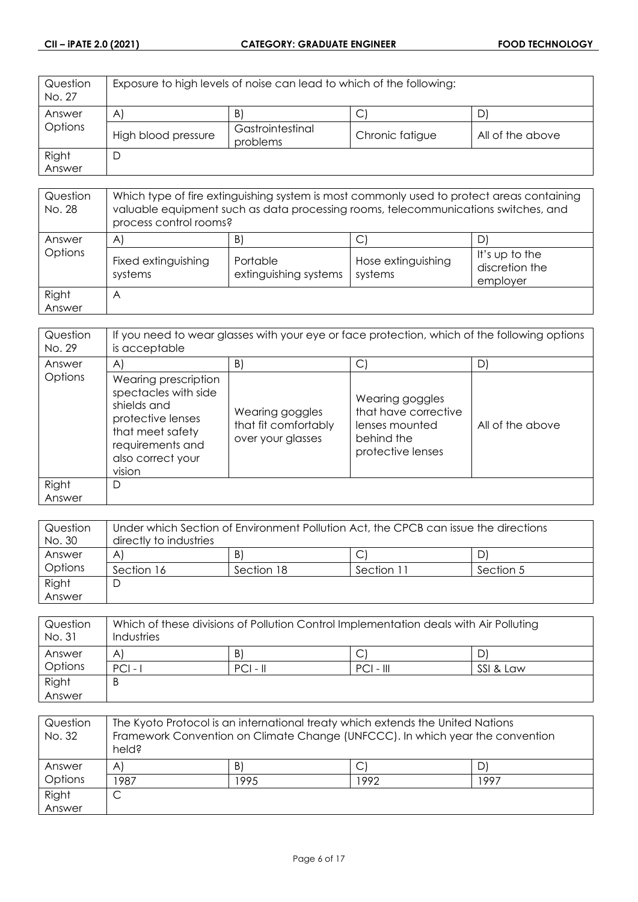| Question<br>No. 27 | Exposure to high levels of noise can lead to which of the following: |                              |                 |                  |
|--------------------|----------------------------------------------------------------------|------------------------------|-----------------|------------------|
| Answer             | $\mathsf{A}$                                                         | B                            | َ ب             | D'               |
| Options            | High blood pressure                                                  | Gastrointestinal<br>problems | Chronic fatigue | All of the above |
| Right              |                                                                      |                              |                 |                  |
| Answer             |                                                                      |                              |                 |                  |

| Question<br>No. 28 | Which type of fire extinguishing system is most commonly used to protect areas containing<br>valuable equipment such as data processing rooms, telecommunications switches, and<br>process control rooms? |                                         |                                    |                                              |
|--------------------|-----------------------------------------------------------------------------------------------------------------------------------------------------------------------------------------------------------|-----------------------------------------|------------------------------------|----------------------------------------------|
| Answer<br>Options  | $\mathsf{A}$<br>Fixed extinguishing<br>systems                                                                                                                                                            | B.<br>Portable<br>extinguishing systems | C<br>Hose extinguishing<br>systems | It's up to the<br>discretion the<br>employer |
| Right<br>Answer    | A                                                                                                                                                                                                         |                                         |                                    |                                              |

| Question<br>No. 29 | If you need to wear glasses with your eye or face protection, which of the following options<br>is acceptable                                           |                                                              |                                                                                              |                  |
|--------------------|---------------------------------------------------------------------------------------------------------------------------------------------------------|--------------------------------------------------------------|----------------------------------------------------------------------------------------------|------------------|
| Answer             | $\mathsf{A}$                                                                                                                                            | $\vert B \vert$                                              | С                                                                                            | D)               |
| Options            | Wearing prescription<br>spectacles with side<br>shields and<br>protective lenses<br>that meet safety<br>requirements and<br>also correct your<br>vision | Wearing goggles<br>that fit comfortably<br>over your glasses | Wearing goggles<br>that have corrective<br>lenses mounted<br>behind the<br>protective lenses | All of the above |
| Right<br>Answer    | D                                                                                                                                                       |                                                              |                                                                                              |                  |

| Question | Under which Section of Environment Pollution Act, the CPCB can issue the directions |            |            |           |
|----------|-------------------------------------------------------------------------------------|------------|------------|-----------|
| No. 30   | directly to industries                                                              |            |            |           |
| Answer   | A                                                                                   | B)         |            | DI        |
| Options  | Section 16                                                                          | Section 18 | Section 11 | Section 5 |
| Right    | C                                                                                   |            |            |           |
| Answer   |                                                                                     |            |            |           |

| Question<br>No. 31 | Which of these divisions of Pollution Control Implementation deals with Air Polluting<br>Industries |            |             |           |
|--------------------|-----------------------------------------------------------------------------------------------------|------------|-------------|-----------|
| Answer             | A                                                                                                   | B          |             |           |
| Options            | $ PC $ -                                                                                            | $PCI - II$ | $PCI - III$ | SSI & Law |
| Right              | B                                                                                                   |            |             |           |
| Answer             |                                                                                                     |            |             |           |

| Question<br>No. 32 | The Kyoto Protocol is an international treaty which extends the United Nations<br>Framework Convention on Climate Change (UNFCCC). In which year the convention<br>held? |      |      |      |
|--------------------|--------------------------------------------------------------------------------------------------------------------------------------------------------------------------|------|------|------|
| Answer             | $\mathsf{A}^{\mathsf{c}}$                                                                                                                                                | B)   |      |      |
| Options            | 1987                                                                                                                                                                     | 1995 | 1992 | 1997 |
| Right              | C                                                                                                                                                                        |      |      |      |
| Answer             |                                                                                                                                                                          |      |      |      |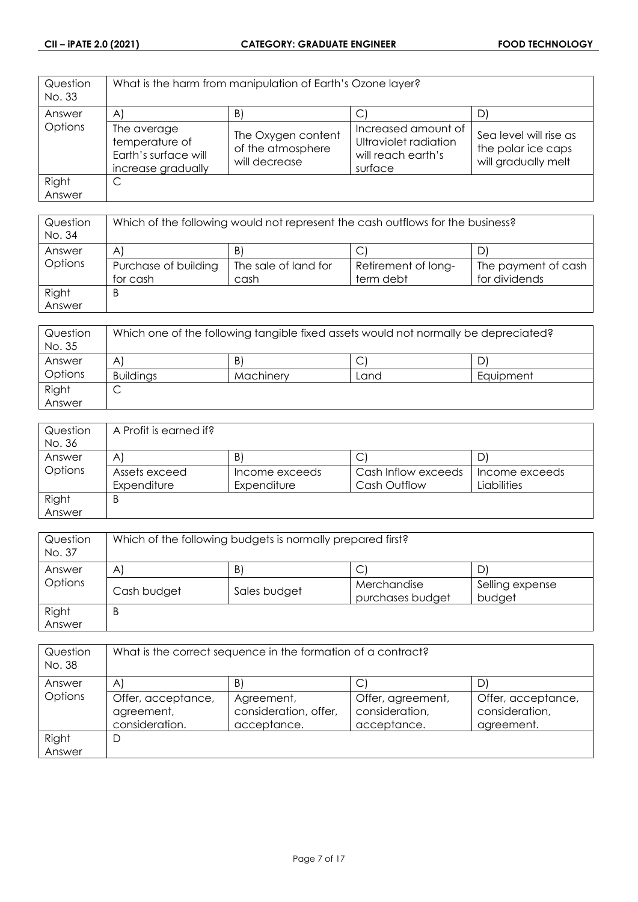| Question<br>No. 33 | What is the harm from manipulation of Earth's Ozone layer?                  |                                                          |                                                                               |                                                                     |
|--------------------|-----------------------------------------------------------------------------|----------------------------------------------------------|-------------------------------------------------------------------------------|---------------------------------------------------------------------|
| Answer             | $\mathsf{A}^{\mathsf{c}}$                                                   | B                                                        |                                                                               | D'                                                                  |
| Options            | The average<br>temperature of<br>Earth's surface will<br>increase gradually | The Oxygen content<br>of the atmosphere<br>will decrease | Increased amount of<br>Ultraviolet radiation<br>will reach earth's<br>surface | Sea level will rise as<br>the polar ice caps<br>will gradually melt |
| Right              | C                                                                           |                                                          |                                                                               |                                                                     |
| Answer             |                                                                             |                                                          |                                                                               |                                                                     |

| Question<br>No. 34 | Which of the following would not represent the cash outflows for the business? |                      |                     |                     |
|--------------------|--------------------------------------------------------------------------------|----------------------|---------------------|---------------------|
| Answer             | A                                                                              | B)                   |                     |                     |
| Options            | Purchase of building                                                           | The sale of land for | Retirement of long- | The payment of cash |
|                    | for cash                                                                       | cash                 | term debt           | for dividends       |
| Right              | B                                                                              |                      |                     |                     |
| Answer             |                                                                                |                      |                     |                     |

| Question<br>No. 35 | Which one of the following tangible fixed assets would not normally be depreciated? |           |      |           |
|--------------------|-------------------------------------------------------------------------------------|-----------|------|-----------|
| Answer             | A                                                                                   | B         | ◡    | D'        |
| Options            | <b>Buildings</b>                                                                    | Machinery | Land | Equipment |
| Right              | ◡                                                                                   |           |      |           |
| Answer             |                                                                                     |           |      |           |

| Question | A Profit is earned if? |                |                     |                |
|----------|------------------------|----------------|---------------------|----------------|
| No. 36   |                        |                |                     |                |
| Answer   | A                      | $\mathsf{B}$   | С                   | D              |
| Options  | Assets exceed          | Income exceeds | Cash Inflow exceeds | Income exceeds |
|          | Expenditure            | Expenditure    | Cash Outflow        | Liabilities    |
| Right    | B                      |                |                     |                |
| Answer   |                        |                |                     |                |

| Question<br>No. 37 | Which of the following budgets is normally prepared first? |              |                  |                 |  |
|--------------------|------------------------------------------------------------|--------------|------------------|-----------------|--|
| Answer             | B)<br>D<br>$\mathsf{A}$                                    |              |                  |                 |  |
| Options            |                                                            |              | ◡<br>Merchandise | Selling expense |  |
|                    | Cash budget                                                | Sales budget | purchases budget | budget          |  |
| Right              | B                                                          |              |                  |                 |  |
| Answer             |                                                            |              |                  |                 |  |

| Question<br>No. 38 | What is the correct sequence in the formation of a contract? |                                                    |                                                    |                                                    |
|--------------------|--------------------------------------------------------------|----------------------------------------------------|----------------------------------------------------|----------------------------------------------------|
| Answer             | $\mathsf{A}^{\prime}$                                        | B                                                  |                                                    | D                                                  |
| Options            | Offer, acceptance,<br>agreement,<br>consideration.           | Agreement,<br>consideration, offer,<br>acceptance. | Offer, agreement,<br>consideration,<br>acceptance. | Offer, acceptance,<br>consideration,<br>agreement. |
| Right              | D                                                            |                                                    |                                                    |                                                    |
| Answer             |                                                              |                                                    |                                                    |                                                    |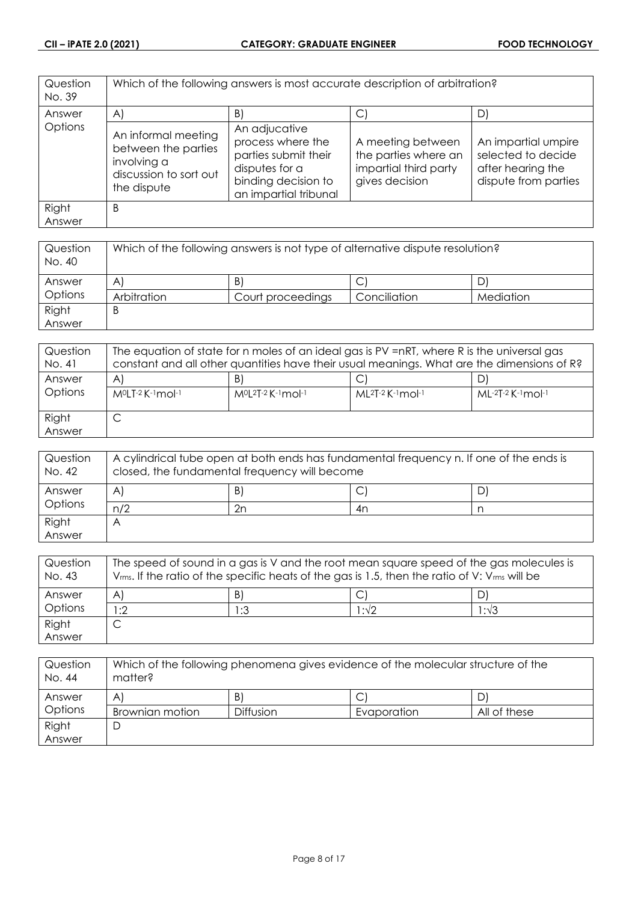| Question<br>No. 39 | Which of the following answers is most accurate description of arbitration?                        |                                                                                                                              |                                                                                      |                                                                                        |
|--------------------|----------------------------------------------------------------------------------------------------|------------------------------------------------------------------------------------------------------------------------------|--------------------------------------------------------------------------------------|----------------------------------------------------------------------------------------|
| Answer             | $\mathsf{A}$                                                                                       | $\vert B \vert$                                                                                                              | C.                                                                                   | D)                                                                                     |
| Options            | An informal meeting<br>between the parties<br>involving a<br>discussion to sort out<br>the dispute | An adjucative<br>process where the<br>parties submit their<br>disputes for a<br>binding decision to<br>an impartial tribunal | A meeting between<br>the parties where an<br>impartial third party<br>gives decision | An impartial umpire<br>selected to decide<br>after hearing the<br>dispute from parties |
| Right<br>Answer    | B                                                                                                  |                                                                                                                              |                                                                                      |                                                                                        |

| Question<br>No. 40 | Which of the following answers is not type of alternative dispute resolution? |                   |              |           |
|--------------------|-------------------------------------------------------------------------------|-------------------|--------------|-----------|
| Answer             | A                                                                             | B)                |              |           |
| Options            | Arbitration                                                                   | Court proceedings | Conciliation | Mediation |
| Right              | B                                                                             |                   |              |           |
| Answer             |                                                                               |                   |              |           |

| Question<br>No. 41 | The equation of state for n moles of an ideal gas is PV =nRT, where R is the universal gas<br>constant and all other quantities have their usual meanings. What are the dimensions of R? |                                  |                             |                     |
|--------------------|------------------------------------------------------------------------------------------------------------------------------------------------------------------------------------------|----------------------------------|-----------------------------|---------------------|
| Answer<br>Options  | A<br>M <sup>o</sup> LT-2 K-1 mol-1                                                                                                                                                       | B<br>$M^{0}[2T-2K^{-1}mol^{-1}]$ | $ML^{2}T-2$ K $-1$ mol $-1$ | $ML-2T-2$ K-1 mol-1 |
| Right<br>Answer    | ◡                                                                                                                                                                                        |                                  |                             |                     |

| Question<br>No. 42 | A cylindrical tube open at both ends has fundamental frequency n. If one of the ends is<br>closed, the fundamental frequency will become |    |    |   |
|--------------------|------------------------------------------------------------------------------------------------------------------------------------------|----|----|---|
| Answer<br>Options  | A                                                                                                                                        | B) | ◡  | D |
|                    | n/2                                                                                                                                      | 2n | 4n |   |
| Right              |                                                                                                                                          |    |    |   |
| Answer             |                                                                                                                                          |    |    |   |

| Question<br>No. 43 | The speed of sound in a gas is V and the root mean square speed of the gas molecules is<br>$V_{rms}$ . If the ratio of the specific heats of the gas is 1.5, then the ratio of V: $V_{rms}$ will be |     |      |               |
|--------------------|-----------------------------------------------------------------------------------------------------------------------------------------------------------------------------------------------------|-----|------|---------------|
| Answer             | A                                                                                                                                                                                                   | B   |      |               |
| Options            | :2                                                                                                                                                                                                  | 1:3 | 1:√2 | $1:1\sqrt{3}$ |
| Right              |                                                                                                                                                                                                     |     |      |               |
| Answer             |                                                                                                                                                                                                     |     |      |               |

| Question<br>No. 44 | Which of the following phenomena gives evidence of the molecular structure of the<br>matter? |                  |             |              |
|--------------------|----------------------------------------------------------------------------------------------|------------------|-------------|--------------|
| Answer             | Α                                                                                            | B)               |             |              |
| Options            | Brownian motion                                                                              | <b>Diffusion</b> | Evaporation | All of these |
| Right              |                                                                                              |                  |             |              |
| Answer             |                                                                                              |                  |             |              |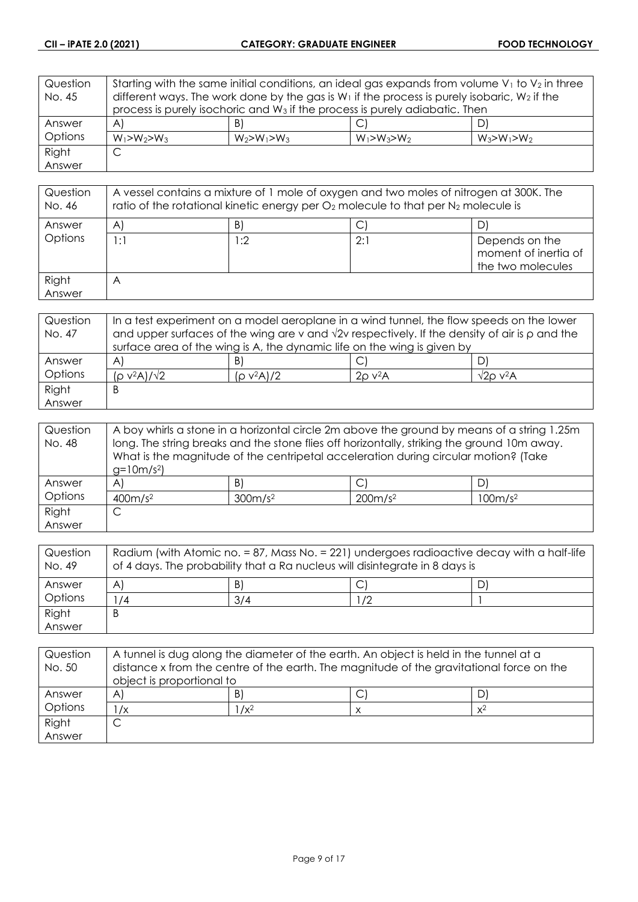| Question | Starting with the same initial conditions, an ideal gas expands from volume $V_1$ to $V_2$ in three |                                                                                         |                   |                   |
|----------|-----------------------------------------------------------------------------------------------------|-----------------------------------------------------------------------------------------|-------------------|-------------------|
| No. 45   | different ways. The work done by the gas is $W_1$ if the process is purely isobaric, $W_2$ if the   |                                                                                         |                   |                   |
|          |                                                                                                     | process is purely isochoric and W <sub>3</sub> if the process is purely adiabatic. Then |                   |                   |
| Answer   | $\forall$                                                                                           | B)                                                                                      | С                 | D)                |
| Options  | $W_1 > W_2 > W_3$                                                                                   | $W_2 > W_1 > W_3$                                                                       | $W_1 > W_3 > W_2$ | $W_3 > W_1 > W_2$ |
| Right    | C                                                                                                   |                                                                                         |                   |                   |
| Answer   |                                                                                                     |                                                                                         |                   |                   |

| Question<br>No. 46 | A vessel contains a mixture of 1 mole of oxygen and two moles of nitrogen at 300K. The<br>ratio of the rotational kinetic energy per $O_2$ molecule to that per $N_2$ molecule is |     |     |                                                             |
|--------------------|-----------------------------------------------------------------------------------------------------------------------------------------------------------------------------------|-----|-----|-------------------------------------------------------------|
| Answer             | $\mathsf{A}^{\mathsf{c}}$                                                                                                                                                         | B)  |     |                                                             |
| Options            | 1:1                                                                                                                                                                               | l:2 | 2:1 | Depends on the<br>moment of inertia of<br>the two molecules |
| Right<br>Answer    | A                                                                                                                                                                                 |     |     |                                                             |

| Question | In a test experiment on a model aeroplane in a wind tunnel, the flow speeds on the lower                   |               |                          |                               |
|----------|------------------------------------------------------------------------------------------------------------|---------------|--------------------------|-------------------------------|
| No. 47   | and upper surfaces of the wing are v and $\sqrt{2}v$ respectively. If the density of air is $\rho$ and the |               |                          |                               |
|          | surface area of the wing is A, the dynamic life on the wing is given by                                    |               |                          |                               |
| Answer   | A                                                                                                          | B)            | C                        | D.                            |
| Options  | $(p v^2 A)/\sqrt{2}$                                                                                       | $(p v^2 A)/2$ | $2\rho$ v <sup>2</sup> A | $\sqrt{2}$ O v <sup>2</sup> A |
| Right    | Β                                                                                                          |               |                          |                               |
| Answer   |                                                                                                            |               |                          |                               |

| Question | A boy whirls a stone in a horizontal circle 2m above the ground by means of a string 1.25m  |                     |                                                                                     |                     |
|----------|---------------------------------------------------------------------------------------------|---------------------|-------------------------------------------------------------------------------------|---------------------|
| No. 48   | long. The string breaks and the stone flies off horizontally, striking the ground 10m away. |                     |                                                                                     |                     |
|          |                                                                                             |                     | What is the magnitude of the centripetal acceleration during circular motion? (Take |                     |
|          | $g=10m/s^2$                                                                                 |                     |                                                                                     |                     |
| Answer   | $\mathsf{A}$                                                                                | B)                  |                                                                                     | D                   |
| Options  | 400m/s <sup>2</sup>                                                                         | 300m/s <sup>2</sup> | 200m/s <sup>2</sup>                                                                 | 100m/s <sup>2</sup> |
| Right    | ◡                                                                                           |                     |                                                                                     |                     |
| Answer   |                                                                                             |                     |                                                                                     |                     |

| Question<br>No. 49 | Radium (with Atomic no. = 87, Mass No. = 221) undergoes radioactive decay with a half-life<br>of 4 days. The probability that a Ra nucleus will disintegrate in 8 days is |     |    |  |
|--------------------|---------------------------------------------------------------------------------------------------------------------------------------------------------------------------|-----|----|--|
| Answer             | A                                                                                                                                                                         | B)  |    |  |
| Options            | /4                                                                                                                                                                        | 3/4 | /2 |  |
| Right              | B                                                                                                                                                                         |     |    |  |
| Answer             |                                                                                                                                                                           |     |    |  |

| Question<br>No. 50 | A tunnel is dug along the diameter of the earth. An object is held in the tunnel at a<br>distance x from the centre of the earth. The magnitude of the gravitational force on the |   |  |  |
|--------------------|-----------------------------------------------------------------------------------------------------------------------------------------------------------------------------------|---|--|--|
|                    | object is proportional to                                                                                                                                                         |   |  |  |
| Answer             | A1                                                                                                                                                                                | B |  |  |
| Options            | $1/x^2$<br>/х<br>$x^2$                                                                                                                                                            |   |  |  |
| Right              |                                                                                                                                                                                   |   |  |  |
| Answer             |                                                                                                                                                                                   |   |  |  |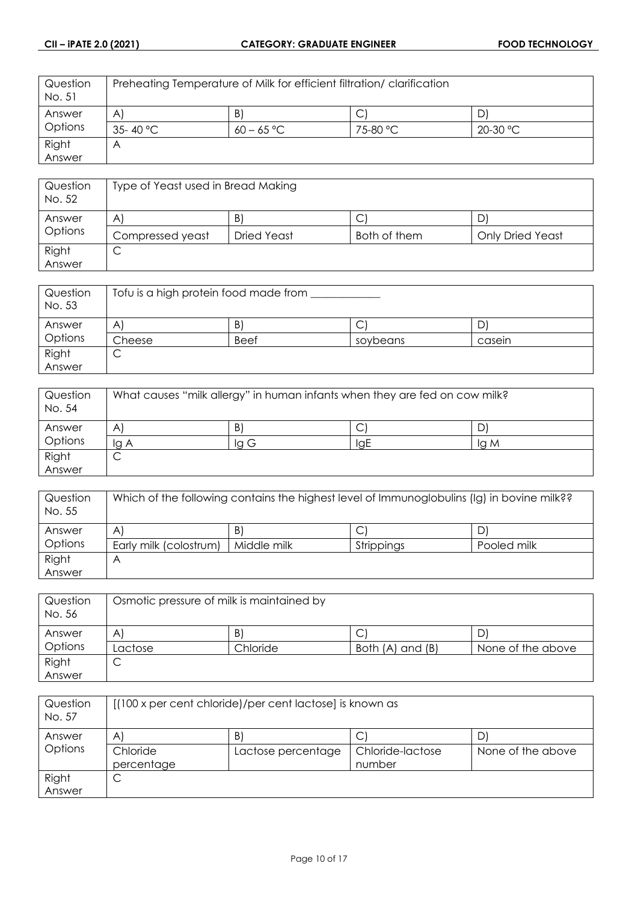| Question<br>No. 51 | Preheating Temperature of Milk for efficient filtration/ clarification |              |          |            |
|--------------------|------------------------------------------------------------------------|--------------|----------|------------|
| Answer             | $\mathsf{A}$                                                           | B,           |          |            |
| <b>Options</b>     | 35-40 °C                                                               | $60 - 65 °C$ | 75-80 °C | $20-30$ °C |
| Right              | $\forall$                                                              |              |          |            |
| Answer             |                                                                        |              |          |            |

| Question<br>No. 52 | Type of Yeast used in Bread Making |             |              |                         |
|--------------------|------------------------------------|-------------|--------------|-------------------------|
| Answer             | A                                  | B.          | C            |                         |
| Options            | Compressed yeast                   | Dried Yeast | Both of them | <b>Only Dried Yeast</b> |
| Right              | ◡                                  |             |              |                         |
| Answer             |                                    |             |              |                         |

| Question<br>No. 53 | Tofu is a high protein food made from |             |          |        |
|--------------------|---------------------------------------|-------------|----------|--------|
| Answer             | A                                     | Β           | ◡        |        |
| Options            | Cheese                                | <b>Beef</b> | soybeans | casein |
| Right              | ◡                                     |             |          |        |
| Answer             |                                       |             |          |        |

| Question<br>No. 54 | What causes "milk allergy" in human infants when they are fed on cow milk? |     |     |      |
|--------------------|----------------------------------------------------------------------------|-----|-----|------|
| Answer             | A                                                                          | B)  | C   |      |
| Options            | la A                                                                       | IgG | IgE | lg M |
| Right              | ◡                                                                          |     |     |      |
| Answer             |                                                                            |     |     |      |

| Question<br>No. 55 | Which of the following contains the highest level of Immunoglobulins (Ig) in bovine milk?? |             |            |             |
|--------------------|--------------------------------------------------------------------------------------------|-------------|------------|-------------|
| Answer             | A                                                                                          | B'          |            | D'          |
| Options            | Early milk (colostrum)                                                                     | Middle milk | Strippings | Pooled milk |
| Right              | ۳                                                                                          |             |            |             |
| Answer             |                                                                                            |             |            |             |

| Question<br>No. 56 | Osmotic pressure of milk is maintained by |          |                  |                   |
|--------------------|-------------------------------------------|----------|------------------|-------------------|
| Answer             | A                                         | B        | J                |                   |
| Options            | Lactose                                   | Chloride | Both (A) and (B) | None of the above |
| Right              | ◡                                         |          |                  |                   |
| Answer             |                                           |          |                  |                   |

| Question<br>No. 57 | [(100 x per cent chloride)/per cent lactose] is known as |                    |                            |                   |
|--------------------|----------------------------------------------------------|--------------------|----------------------------|-------------------|
| Answer             | A                                                        | $\vert B \vert$    | Ċ                          |                   |
| Options            | Chloride<br>percentage                                   | Lactose percentage | Chloride-lactose<br>number | None of the above |
| Right<br>Answer    | ◡                                                        |                    |                            |                   |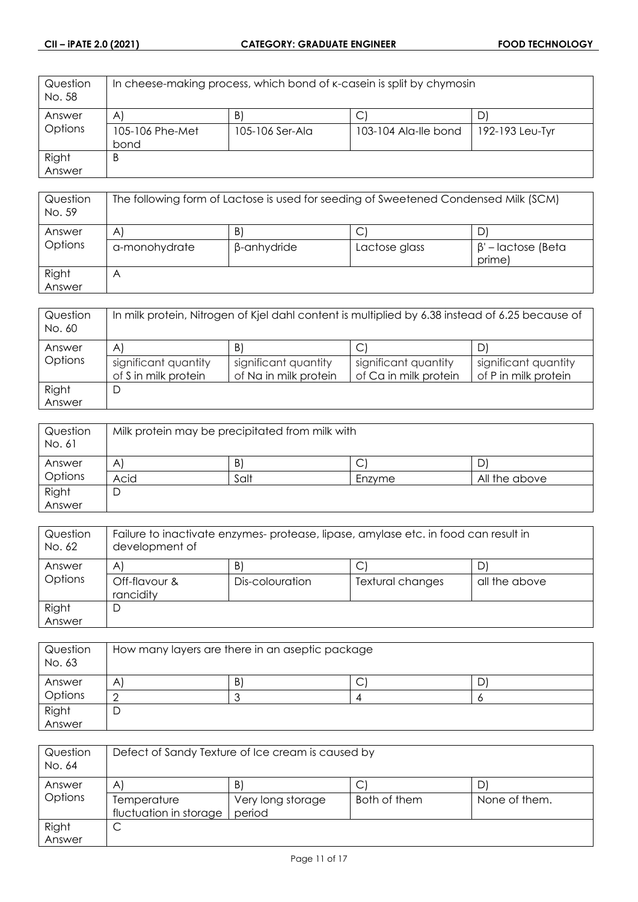| Question<br>No. 58 | In cheese-making process, which bond of k-casein is split by chymosin |                 |                      |                 |
|--------------------|-----------------------------------------------------------------------|-----------------|----------------------|-----------------|
| Answer             | $\mathsf{A}$                                                          | B)              |                      | D               |
| Options            | 105-106 Phe-Met                                                       | 105-106 Ser-Ala | 103-104 Ala-lle bond | 192-193 Leu-Tyr |
|                    | bond                                                                  |                 |                      |                 |
| Right              | B                                                                     |                 |                      |                 |
| Answer             |                                                                       |                 |                      |                 |

| Question<br>No. 59 | The following form of Lactose is used for seeding of Sweetened Condensed Milk (SCM) |                   |               |                                    |
|--------------------|-------------------------------------------------------------------------------------|-------------------|---------------|------------------------------------|
| Answer<br>Options  | A<br>a-monohydrate                                                                  | B)<br>β-anhydride | Lactose glass | $\beta'$ – lactose (Beta<br>prime) |
| Right<br>Answer    | A                                                                                   |                   |               |                                    |

| Question<br>No. 60 | In milk protein, Nitrogen of Kjel dahl content is multiplied by 6.38 instead of 6.25 because of |                       |                       |                      |
|--------------------|-------------------------------------------------------------------------------------------------|-----------------------|-----------------------|----------------------|
| Answer             | A                                                                                               | B                     |                       |                      |
| Options            | significant quantity                                                                            | significant quantity  | significant quantity  | significant quantity |
|                    | of S in milk protein                                                                            | of Na in milk protein | of Ca in milk protein | of P in milk protein |
| Right              | D                                                                                               |                       |                       |                      |
| Answer             |                                                                                                 |                       |                       |                      |

| Question<br>No. 61 | Milk protein may be precipitated from milk with |      |             |               |
|--------------------|-------------------------------------------------|------|-------------|---------------|
| Answer             | A'                                              | B,   | $\sim$<br>◡ |               |
| Options            | Acid                                            | Salt | Enzyme      | All the above |
| Right              | D                                               |      |             |               |
| Answer             |                                                 |      |             |               |

| Failure to inactivate enzymes- protease, lipase, amylase etc. in food can result in<br>development of |                 |                  |               |
|-------------------------------------------------------------------------------------------------------|-----------------|------------------|---------------|
| A                                                                                                     | B.              |                  | D.            |
| Off-flavour &<br>rancidity                                                                            | Dis-colouration | Textural changes | all the above |
| D                                                                                                     |                 |                  |               |
|                                                                                                       |                 |                  |               |

| Question<br>No. 63 | How many layers are there in an aseptic package |   |        |  |
|--------------------|-------------------------------------------------|---|--------|--|
| Answer             | A                                               | B | ⌒<br>◡ |  |
| <b>Options</b>     |                                                 |   |        |  |
| Right<br>Answer    | ◡                                               |   |        |  |

| Question<br>No. 64 | Defect of Sandy Texture of Ice cream is caused by |                   |              |               |
|--------------------|---------------------------------------------------|-------------------|--------------|---------------|
| Answer             | A                                                 | B                 |              |               |
| Options            | Temperature                                       | Very long storage | Both of them | None of them. |
|                    | fluctuation in storage                            | period            |              |               |
| Right              | ◡                                                 |                   |              |               |
| Answer             |                                                   |                   |              |               |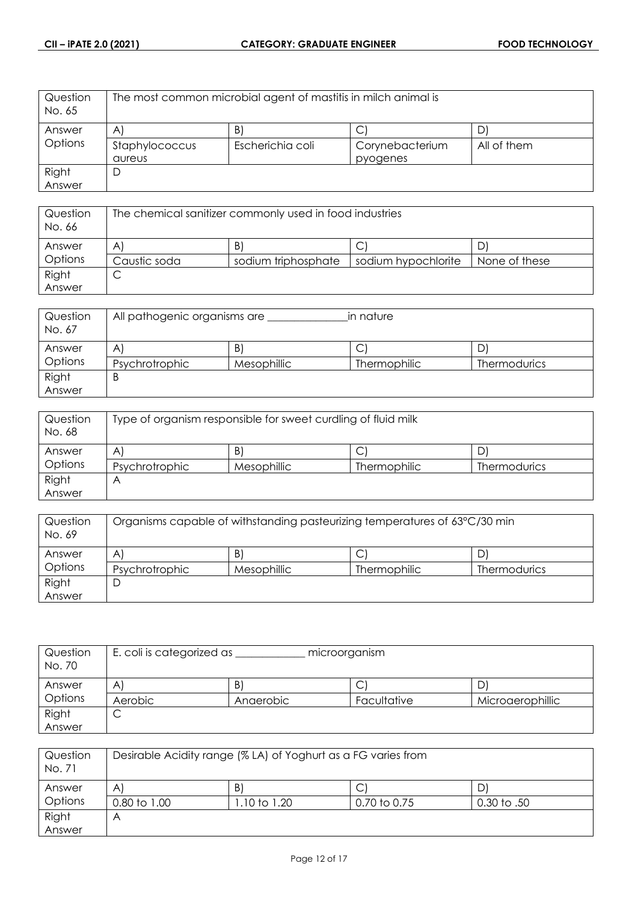| Question<br>No. 65 | The most common microbial agent of mastitis in milch animal is |                  |                 |             |
|--------------------|----------------------------------------------------------------|------------------|-----------------|-------------|
| Answer             | $\mathsf{A}$                                                   | B)               |                 |             |
| <b>Options</b>     | Staphylococcus                                                 | Escherichia coli | Corynebacterium | All of them |
|                    | aureus                                                         |                  | pyogenes        |             |
| Right              | D                                                              |                  |                 |             |
| Answer             |                                                                |                  |                 |             |

| Question<br>No. 66 | The chemical sanifizer commonly used in food industries |                     |                     |               |
|--------------------|---------------------------------------------------------|---------------------|---------------------|---------------|
| Answer             | A                                                       | B                   | ◡                   |               |
| <b>Options</b>     | Caustic soda                                            | sodium triphosphate | sodium hypochlorite | None of these |
| Right              | ◡                                                       |                     |                     |               |
| Answer             |                                                         |                     |                     |               |

| Question<br>No. 67 | All pathogenic organisms are |             | in nature    |                     |
|--------------------|------------------------------|-------------|--------------|---------------------|
| Answer             | A                            | B.          | С            |                     |
| Options            | Psychrotrophic               | Mesophillic | Thermophilic | <b>Thermodurics</b> |
| Right              | B                            |             |              |                     |
| Answer             |                              |             |              |                     |

| Question<br>No. 68 | Type of organism responsible for sweet curdling of fluid milk |             |                     |                     |
|--------------------|---------------------------------------------------------------|-------------|---------------------|---------------------|
| Answer             | Α                                                             | B)          | C                   |                     |
| Options            | Psychrotrophic                                                | Mesophillic | <b>Thermophilic</b> | <b>Thermodurics</b> |
| Right              |                                                               |             |                     |                     |
| Answer             |                                                               |             |                     |                     |

| Question<br>No. 69 | Organisms capable of withstanding pasteurizing temperatures of 63°C/30 min |                    |                     |                     |
|--------------------|----------------------------------------------------------------------------|--------------------|---------------------|---------------------|
| Answer             | A                                                                          | B.                 |                     | D                   |
| Options            | Psychrotrophic                                                             | <b>Mesophillic</b> | <b>Thermophilic</b> | <b>Thermodurics</b> |
| Right              | ┕                                                                          |                    |                     |                     |
| Answer             |                                                                            |                    |                     |                     |

| Question<br>No. 70 | E. coli is categorized as<br>microorganism |           |             |                  |
|--------------------|--------------------------------------------|-----------|-------------|------------------|
| Answer             | A                                          | B.        | Ć           | ◡                |
| Options            | Aerobic                                    | Anaerobic | Facultative | Microaerophillic |
| Right              | ◡                                          |           |             |                  |
| Answer             |                                            |           |             |                  |

| Question<br>No. 71 | Desirable Acidity range (% LA) of Yoghurt as a FG varies from |             |              |                 |
|--------------------|---------------------------------------------------------------|-------------|--------------|-----------------|
| Answer             | $\mathsf{A}^{\prime}$                                         | B)          | C            |                 |
| Options            | 0.80 to 1.00                                                  | .10 to 1.20 | 0.70 to 0.75 | $0.30$ to $.50$ |
| Right              | Α                                                             |             |              |                 |
| Answer             |                                                               |             |              |                 |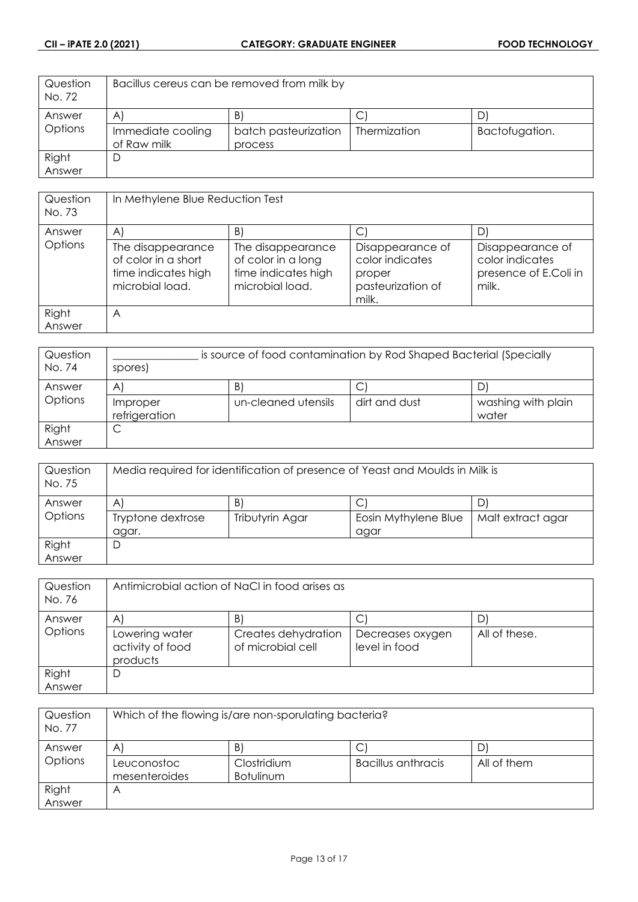| Question<br>No. 72 | Bacillus cereus can be removed from milk by |                      |                     |                |
|--------------------|---------------------------------------------|----------------------|---------------------|----------------|
| Answer             | A                                           | B                    |                     |                |
| Options            | Immediate cooling                           | batch pasteurization | <b>Thermization</b> | Bactofugation. |
|                    | of Raw milk                                 | process              |                     |                |
| Right              | D                                           |                      |                     |                |
| Answer             |                                             |                      |                     |                |

| Question<br>No. 73 | In Methylene Blue Reduction Test                                                   |                                                                                   |                                                                             |                                                                       |
|--------------------|------------------------------------------------------------------------------------|-----------------------------------------------------------------------------------|-----------------------------------------------------------------------------|-----------------------------------------------------------------------|
| Answer             | $\mathsf{A}$                                                                       | B)                                                                                |                                                                             | D)                                                                    |
| Options            | The disappearance<br>of color in a short<br>time indicates high<br>microbial load. | The disappearance<br>of color in a long<br>time indicates high<br>microbial load. | Disappearance of<br>color indicates<br>proper<br>pasteurization of<br>milk. | Disappearance of<br>color indicates<br>presence of E.Coli in<br>milk. |
| Right              | A                                                                                  |                                                                                   |                                                                             |                                                                       |
| Answer             |                                                                                    |                                                                                   |                                                                             |                                                                       |

| Question<br>No. 74 | is source of food contamination by Rod Shaped Bacterial (Specially<br>spores) |                     |               |                             |
|--------------------|-------------------------------------------------------------------------------|---------------------|---------------|-----------------------------|
| Answer             | $\mathsf{A}$                                                                  | $\vert$ B           | ◡             | D.                          |
| Options            | Improper<br>refrigeration                                                     | un-cleaned utensils | dirt and dust | washing with plain<br>water |
| Right<br>Answer    | ◡                                                                             |                     |               |                             |

| Question<br>No. 75 | Media required for identification of presence of Yeast and Moulds in Milk is |                 |                      |                   |
|--------------------|------------------------------------------------------------------------------|-----------------|----------------------|-------------------|
| Answer             | $\mathsf{A}^{\prime}$                                                        | $\vert B \vert$ | С                    | D                 |
| Options            | Tryptone dextrose                                                            | Tributyrin Agar | Eosin Mythylene Blue | Malt extract agar |
|                    | agar.                                                                        |                 | agar                 |                   |
| Right              | D                                                                            |                 |                      |                   |
| Answer             |                                                                              |                 |                      |                   |

| Question<br>No. 76 | Antimicrobial action of NaCl in food arises as |                                          |                                   |               |
|--------------------|------------------------------------------------|------------------------------------------|-----------------------------------|---------------|
| Answer             | $\mathsf{A}$                                   | B)                                       | С                                 |               |
| Options            | Lowering water<br>activity of food<br>products | Creates dehydration<br>of microbial cell | Decreases oxygen<br>level in food | All of these. |
| Right              | D                                              |                                          |                                   |               |
| Answer             |                                                |                                          |                                   |               |

| Question<br>No. 77 | Which of the flowing is/are non-sporulating bacteria? |                                 |                    |             |
|--------------------|-------------------------------------------------------|---------------------------------|--------------------|-------------|
| Answer             | B'<br>D<br>$\mathsf{A}$                               |                                 |                    |             |
| Options            | Leuconostoc<br>mesenteroides                          | Clostridium<br><b>Botulinum</b> | Bacillus anthracis | All of them |
| Right<br>Answer    | Α                                                     |                                 |                    |             |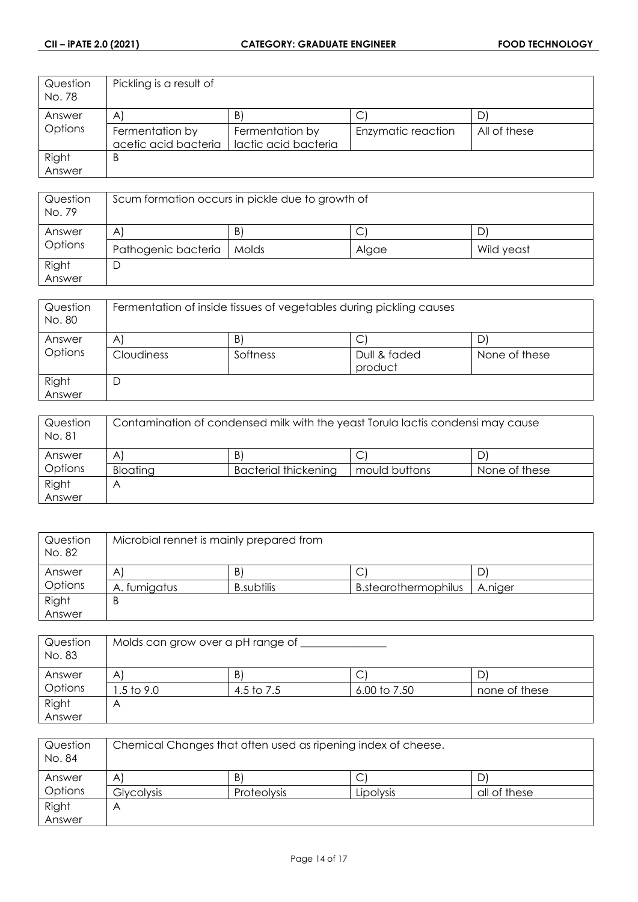| Question<br>No. 78 | Pickling is a result of |                      |                    |              |
|--------------------|-------------------------|----------------------|--------------------|--------------|
| Answer             | $\mathsf{A}$            | B)                   |                    | D            |
| Options            | Fermentation by         | Fermentation by      | Enzymatic reaction | All of these |
|                    | acetic acid bacteria    | lactic acid bacteria |                    |              |
| Right              | B                       |                      |                    |              |
| Answer             |                         |                      |                    |              |

| Question<br>No. 79 | Scum formation occurs in pickle due to growth of |       |       |            |
|--------------------|--------------------------------------------------|-------|-------|------------|
| Answer             | A                                                | B)    | ◡     | D'         |
| Options            | Pathogenic bacteria                              | Molds | Algae | Wild yeast |
| Right<br>Answer    | D                                                |       |       |            |

| Question<br>No. 80 | Fermentation of inside tissues of vegetables during pickling causes |               |                         |                    |
|--------------------|---------------------------------------------------------------------|---------------|-------------------------|--------------------|
| Answer<br>Options  | A<br><b>Cloudiness</b>                                              | B<br>Softness | Dull & faded<br>product | D<br>None of these |
| Right<br>Answer    | D                                                                   |               |                         |                    |

| Question<br>No. 81 | Contamination of condensed milk with the yeast Torula lactis condensi may cause |                             |               |               |
|--------------------|---------------------------------------------------------------------------------|-----------------------------|---------------|---------------|
| Answer             | A                                                                               | B                           | C             |               |
| Options            | <b>Bloating</b>                                                                 | <b>Bacterial thickening</b> | mould buttons | None of these |
| Right              |                                                                                 |                             |               |               |
| Answer             |                                                                                 |                             |               |               |

| Question<br>No. 82 | Microbial rennet is mainly prepared from |                   |                             |         |
|--------------------|------------------------------------------|-------------------|-----------------------------|---------|
| Answer             | A                                        | B.                | ◡                           | D       |
| Options            | A. fumigatus                             | <b>B.subtilis</b> | <b>B.stearothermophilus</b> | A.niger |
| Right              | B                                        |                   |                             |         |
| Answer             |                                          |                   |                             |         |

| Question<br>No. 83 | Molds can grow over a pH range of |            |              |               |
|--------------------|-----------------------------------|------------|--------------|---------------|
| Answer             | A                                 | B.         | ◡            |               |
| Options            | .5 to 9.0                         | 4.5 to 7.5 | 6.00 to 7.50 | none of these |
| Right              | Р                                 |            |              |               |
| Answer             |                                   |            |              |               |

| Question<br>No. 84 | Chemical Changes that often used as ripening index of cheese. |             |           |              |
|--------------------|---------------------------------------------------------------|-------------|-----------|--------------|
| Answer             | A                                                             | B)          | J         |              |
| Options            | <b>Glycolysis</b>                                             | Proteolysis | Lipolysis | all of these |
| Right              | Α                                                             |             |           |              |
| Answer             |                                                               |             |           |              |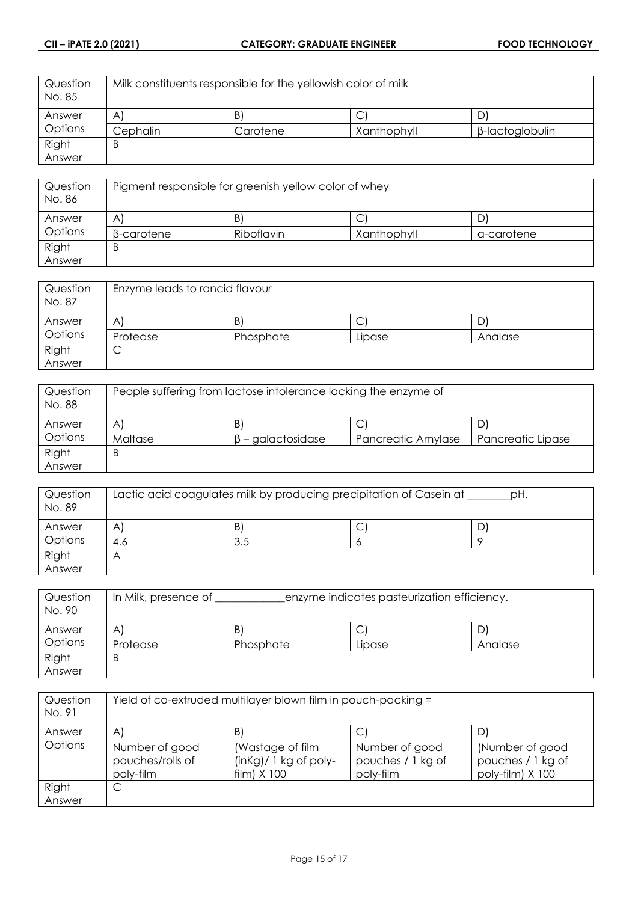| Question<br>No. 85 | Milk constituents responsible for the yellowish color of milk |          |             |                 |
|--------------------|---------------------------------------------------------------|----------|-------------|-----------------|
| Answer             | $\mathsf{A}$                                                  | Β        | ب           |                 |
| <b>Options</b>     | Cephalin                                                      | Carotene | Xanthophyll | β-lactoglobulin |
| Right              | B                                                             |          |             |                 |
| Answer             |                                                               |          |             |                 |

| Question<br>No. 86 | Pigment responsible for greenish yellow color of whey |            |             |            |
|--------------------|-------------------------------------------------------|------------|-------------|------------|
| Answer             | A                                                     | B.         | ◡           | ' ل        |
| Options            | B-carotene                                            | Riboflavin | Xanthophyll | a-carotene |
| Right              | B                                                     |            |             |            |
| Answer             |                                                       |            |             |            |

| Question<br>No. 87 | Enzyme leads to rancid flavour |           |        |         |
|--------------------|--------------------------------|-----------|--------|---------|
| Answer             | A                              | B.        | ◡      |         |
| Options            | Protease                       | Phosphate | Lipase | Analase |
| Right              | ◡                              |           |        |         |
| Answer             |                                |           |        |         |

| Question<br>No. 88 | People suffering from lactose intolerance lacking the enzyme of |                         |                    |                   |
|--------------------|-----------------------------------------------------------------|-------------------------|--------------------|-------------------|
| Answer             | A                                                               | B'                      | ◡                  |                   |
| Options            | Maltase                                                         | $\beta$ – galactosidase | Pancreatic Amylase | Pancreatic Lipase |
| Right              | Β                                                               |                         |                    |                   |
| Answer             |                                                                 |                         |                    |                   |

| Question<br>No. 89 | Lactic acid coagulates milk by producing precipitation of Casein at<br>pH. |     |   |  |
|--------------------|----------------------------------------------------------------------------|-----|---|--|
| Answer             | A                                                                          | B.  | ◡ |  |
| Options            | 4.6                                                                        | 3.5 |   |  |
| Right              | Α                                                                          |     |   |  |
| Answer             |                                                                            |     |   |  |

| Question<br>No. 90 | In Milk, presence of | enzyme indicates pasteurization efficiency. |        |         |
|--------------------|----------------------|---------------------------------------------|--------|---------|
| Answer             | Α                    | B                                           | ◡      | D       |
| Options            | Protease             | Phosphate                                   | Lipase | Analase |
| Right              | Β                    |                                             |        |         |
| Answer             |                      |                                             |        |         |

| Question<br>No. 91 | Yield of co-extruded multilayer blown film in pouch-packing = |                                                                |                                                  |                                                          |
|--------------------|---------------------------------------------------------------|----------------------------------------------------------------|--------------------------------------------------|----------------------------------------------------------|
| Answer             | $\mathsf{A}$                                                  | B)                                                             | C                                                | D                                                        |
| Options            | Number of good<br>pouches/rolls of<br>poly-film               | (Wastage of film<br>$(inKg)/ 1 kg of poly-$<br>$film)$ $X$ 100 | Number of good<br>pouches / 1 kg of<br>poly-film | (Number of good<br>pouches / 1 kg of<br>poly-film) X 100 |
| Right              | С                                                             |                                                                |                                                  |                                                          |
| Answer             |                                                               |                                                                |                                                  |                                                          |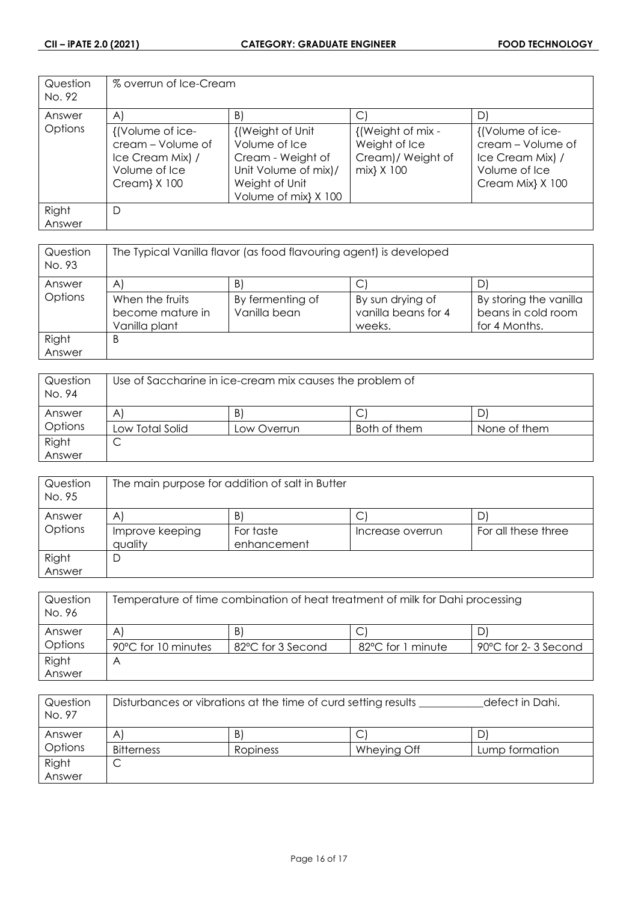| Question<br>No. 92 | % overrun of Ice-Cream                                                                     |                                                                                                                           |                                                                      |                                                                                                |
|--------------------|--------------------------------------------------------------------------------------------|---------------------------------------------------------------------------------------------------------------------------|----------------------------------------------------------------------|------------------------------------------------------------------------------------------------|
| Answer             | $\mathsf{A}$                                                                               | B)                                                                                                                        | $\vert$ $\vert$                                                      | D)                                                                                             |
| Options            | {(Volume of ice-<br>cream - Volume of<br>Ice Cream Mix) /<br>Volume of Ice<br>Cream} X 100 | {(Weight of Unit)<br>Volume of Ice<br>Cream - Weight of<br>Unit Volume of mix)/<br>Weight of Unit<br>Volume of mix} X 100 | {(Weight of mix -<br>Weight of Ice<br>Cream)/Weight of<br>mix} X 100 | {(Volume of ice-<br>cream - Volume of<br>Ice Cream Mix) /<br>Volume of Ice<br>Cream Mix} X 100 |
| Right<br>Answer    | D                                                                                          |                                                                                                                           |                                                                      |                                                                                                |

| Question<br>No. 93 | The Typical Vanilla flavor (as food flavouring agent) is developed |                  |                     |                        |
|--------------------|--------------------------------------------------------------------|------------------|---------------------|------------------------|
| Answer             | A                                                                  | B'               |                     | D                      |
| Options            | When the fruits                                                    | By fermenting of | By sun drying of    | By storing the vanilla |
|                    | become mature in                                                   | Vanilla bean     | vanilla beans for 4 | beans in cold room     |
|                    | Vanilla plant                                                      |                  | weeks.              | for 4 Months.          |
| Right              | B                                                                  |                  |                     |                        |
| Answer             |                                                                    |                  |                     |                        |

| Question<br>No. 94 | Use of Saccharine in ice-cream mix causes the problem of |             |              |              |
|--------------------|----------------------------------------------------------|-------------|--------------|--------------|
| Answer             | A                                                        | B           | J            |              |
| Options            | Low Total Solid                                          | Low Overrun | Both of them | None of them |
| Right              | ◡                                                        |             |              |              |
| Answer             |                                                          |             |              |              |

| Question<br>No. 95 | The main purpose for addition of salt in Butter |              |                  |                     |
|--------------------|-------------------------------------------------|--------------|------------------|---------------------|
| Answer             | A                                               | $\mathsf{B}$ | С                |                     |
| Options            | Improve keeping                                 | For taste    | Increase overrun | For all these three |
|                    | quality                                         | enhancement  |                  |                     |
| Right              | D                                               |              |                  |                     |
| Answer             |                                                 |              |                  |                     |

| Question<br>No. 96 | Temperature of time combination of heat treatment of milk for Dahi processing |                   |                   |                     |
|--------------------|-------------------------------------------------------------------------------|-------------------|-------------------|---------------------|
| Answer             | A                                                                             | B)                |                   |                     |
| Options            | 90°C for 10 minutes                                                           | 82°C for 3 Second | 82°C for 1 minute | 90°C for 2-3 Second |
| Right              | Α                                                                             |                   |                   |                     |
| Answer             |                                                                               |                   |                   |                     |

| Question<br>No. 97 | Disturbances or vibrations at the time of curd setting results<br>defect in Dahi. |          |             |                |
|--------------------|-----------------------------------------------------------------------------------|----------|-------------|----------------|
| Answer             | A                                                                                 | B)       | ◡           |                |
| Options            | Bitterness                                                                        | Ropiness | Wheying Off | Lump formation |
| Right              | ◡                                                                                 |          |             |                |
| Answer             |                                                                                   |          |             |                |